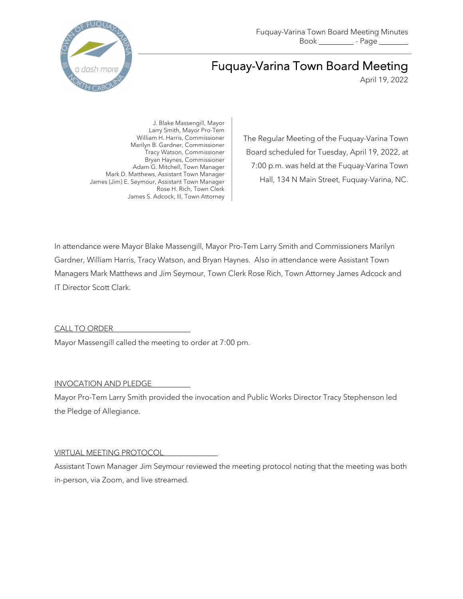

# Fuquay-Varina Town Board Meeting

April 19, 2022

J. Blake Massengill, Mayor Larry Smith, Mayor Pro-Tem William H. Harris, Commissioner Marilyn B. Gardner, Commissioner Tracy Watson, Commissioner Bryan Haynes, Commissioner Adam G. Mitchell, Town Manager Mark D. Matthews, Assistant Town Manager James (Jim) E. Seymour, Assistant Town Manager Rose H. Rich, Town Clerk James S. Adcock, III, Town Attorney

The Regular Meeting of the Fuquay-Varina Town Board scheduled for Tuesday, April 19, 2022, at 7:00 p.m. was held at the Fuquay-Varina Town Hall, 134 N Main Street, Fuquay-Varina, NC.

In attendance were Mayor Blake Massengill, Mayor Pro-Tem Larry Smith and Commissioners Marilyn Gardner, William Harris, Tracy Watson, and Bryan Haynes. Also in attendance were Assistant Town Managers Mark Matthews and Jim Seymour, Town Clerk Rose Rich, Town Attorney James Adcock and IT Director Scott Clark.

# CALL TO ORDER

Mayor Massengill called the meeting to order at 7:00 pm.

# INVOCATION AND PLEDGE

Mayor Pro-Tem Larry Smith provided the invocation and Public Works Director Tracy Stephenson led the Pledge of Allegiance.

# VIRTUAL MEETING PROTOCOL

Assistant Town Manager Jim Seymour reviewed the meeting protocol noting that the meeting was both in-person, via Zoom, and live streamed.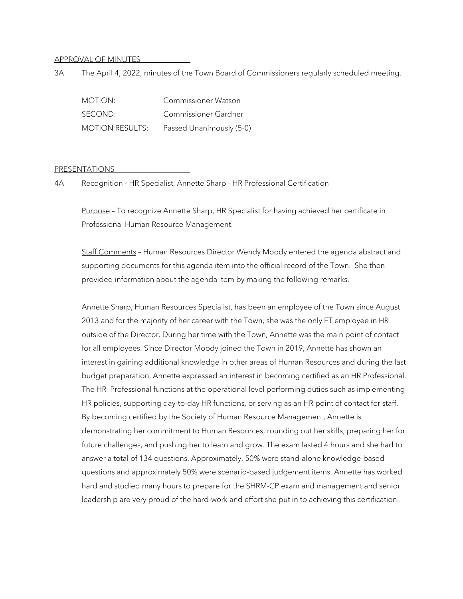#### APPROVAL OF MINUTES

3A The April 4, 2022, minutes of the Town Board of Commissioners regularly scheduled meeting.

MOTION: Commissioner Watson SECOND: Commissioner Gardner MOTION RESULTS: Passed Unanimously (5-0)

#### PRESENTATIONS

4A Recognition - HR Specialist, Annette Sharp - HR Professional Certification

Purpose – To recognize Annette Sharp, HR Specialist for having achieved her certificate in Professional Human Resource Management.

Staff Comments – Human Resources Director Wendy Moody entered the agenda abstract and supporting documents for this agenda item into the official record of the Town. She then provided information about the agenda item by making the following remarks.

Annette Sharp, Human Resources Specialist, has been an employee of the Town since August 2013 and for the majority of her career with the Town, she was the only FT employee in HR outside of the Director. During her time with the Town, Annette was the main point of contact for all employees. Since Director Moody joined the Town in 2019, Annette has shown an interest in gaining additional knowledge in other areas of Human Resources and during the last budget preparation, Annette expressed an interest in becoming certified as an HR Professional. The HR Professional functions at the operational level performing duties such as implementing HR policies, supporting day-to-day HR functions, or serving as an HR point of contact for staff. By becoming certified by the Society of Human Resource Management, Annette is demonstrating her commitment to Human Resources, rounding out her skills, preparing her for future challenges, and pushing her to learn and grow. The exam lasted 4 hours and she had to answer a total of 134 questions. Approximately, 50% were stand-alone knowledge-based questions and approximately 50% were scenario-based judgement items. Annette has worked hard and studied many hours to prepare for the SHRM-CP exam and management and senior leadership are very proud of the hard-work and effort she put in to achieving this certification.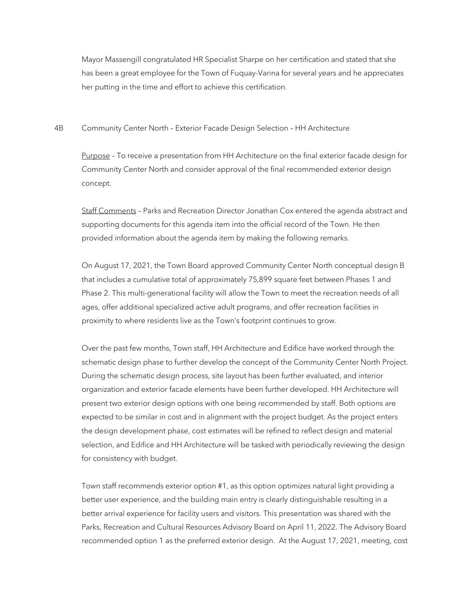Mayor Massengill congratulated HR Specialist Sharpe on her certification and stated that she has been a great employee for the Town of Fuquay-Varina for several years and he appreciates her putting in the time and effort to achieve this certification.

4B Community Center North – Exterior Facade Design Selection – HH Architecture

Purpose – To receive a presentation from HH Architecture on the final exterior facade design for Community Center North and consider approval of the final recommended exterior design concept.

Staff Comments – Parks and Recreation Director Jonathan Cox entered the agenda abstract and supporting documents for this agenda item into the official record of the Town. He then provided information about the agenda item by making the following remarks.

On August 17, 2021, the Town Board approved Community Center North conceptual design B that includes a cumulative total of approximately 75,899 square feet between Phases 1 and Phase 2. This multi-generational facility will allow the Town to meet the recreation needs of all ages, offer additional specialized active adult programs, and offer recreation facilities in proximity to where residents live as the Town's footprint continues to grow.

Over the past few months, Town staff, HH Architecture and Edifice have worked through the schematic design phase to further develop the concept of the Community Center North Project. During the schematic design process, site layout has been further evaluated, and interior organization and exterior facade elements have been further developed. HH Architecture will present two exterior design options with one being recommended by staff. Both options are expected to be similar in cost and in alignment with the project budget. As the project enters the design development phase, cost estimates will be refined to reflect design and material selection, and Edifice and HH Architecture will be tasked with periodically reviewing the design for consistency with budget.

Town staff recommends exterior option #1, as this option optimizes natural light providing a better user experience, and the building main entry is clearly distinguishable resulting in a better arrival experience for facility users and visitors. This presentation was shared with the Parks, Recreation and Cultural Resources Advisory Board on April 11, 2022. The Advisory Board recommended option 1 as the preferred exterior design. At the August 17, 2021, meeting, cost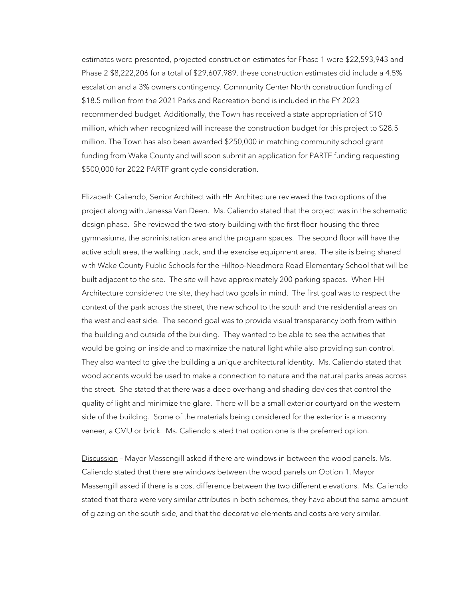estimates were presented, projected construction estimates for Phase 1 were \$22,593,943 and Phase 2 \$8,222,206 for a total of \$29,607,989, these construction estimates did include a 4.5% escalation and a 3% owners contingency. Community Center North construction funding of \$18.5 million from the 2021 Parks and Recreation bond is included in the FY 2023 recommended budget. Additionally, the Town has received a state appropriation of \$10 million, which when recognized will increase the construction budget for this project to \$28.5 million. The Town has also been awarded \$250,000 in matching community school grant funding from Wake County and will soon submit an application for PARTF funding requesting \$500,000 for 2022 PARTF grant cycle consideration.

Elizabeth Caliendo, Senior Architect with HH Architecture reviewed the two options of the project along with Janessa Van Deen. Ms. Caliendo stated that the project was in the schematic design phase. She reviewed the two-story building with the first-floor housing the three gymnasiums, the administration area and the program spaces. The second floor will have the active adult area, the walking track, and the exercise equipment area. The site is being shared with Wake County Public Schools for the Hilltop-Needmore Road Elementary School that will be built adjacent to the site. The site will have approximately 200 parking spaces. When HH Architecture considered the site, they had two goals in mind. The first goal was to respect the context of the park across the street, the new school to the south and the residential areas on the west and east side. The second goal was to provide visual transparency both from within the building and outside of the building. They wanted to be able to see the activities that would be going on inside and to maximize the natural light while also providing sun control. They also wanted to give the building a unique architectural identity. Ms. Caliendo stated that wood accents would be used to make a connection to nature and the natural parks areas across the street. She stated that there was a deep overhang and shading devices that control the quality of light and minimize the glare. There will be a small exterior courtyard on the western side of the building. Some of the materials being considered for the exterior is a masonry veneer, a CMU or brick. Ms. Caliendo stated that option one is the preferred option.

Discussion - Mayor Massengill asked if there are windows in between the wood panels. Ms. Caliendo stated that there are windows between the wood panels on Option 1. Mayor Massengill asked if there is a cost difference between the two different elevations. Ms. Caliendo stated that there were very similar attributes in both schemes, they have about the same amount of glazing on the south side, and that the decorative elements and costs are very similar.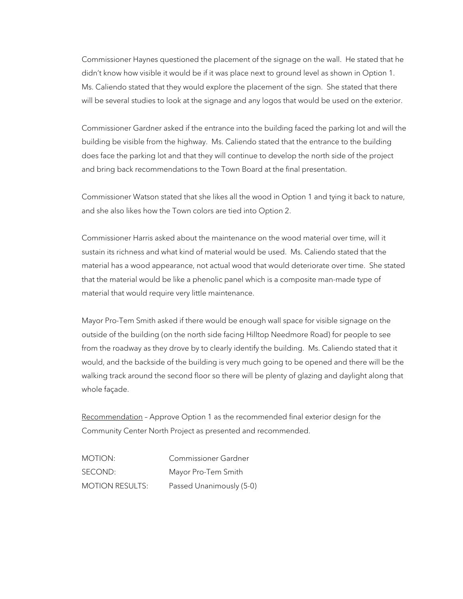Commissioner Haynes questioned the placement of the signage on the wall. He stated that he didn't know how visible it would be if it was place next to ground level as shown in Option 1. Ms. Caliendo stated that they would explore the placement of the sign. She stated that there will be several studies to look at the signage and any logos that would be used on the exterior.

Commissioner Gardner asked if the entrance into the building faced the parking lot and will the building be visible from the highway. Ms. Caliendo stated that the entrance to the building does face the parking lot and that they will continue to develop the north side of the project and bring back recommendations to the Town Board at the final presentation.

Commissioner Watson stated that she likes all the wood in Option 1 and tying it back to nature, and she also likes how the Town colors are tied into Option 2.

Commissioner Harris asked about the maintenance on the wood material over time, will it sustain its richness and what kind of material would be used. Ms. Caliendo stated that the material has a wood appearance, not actual wood that would deteriorate over time. She stated that the material would be like a phenolic panel which is a composite man-made type of material that would require very little maintenance.

Mayor Pro-Tem Smith asked if there would be enough wall space for visible signage on the outside of the building (on the north side facing Hilltop Needmore Road) for people to see from the roadway as they drove by to clearly identify the building. Ms. Caliendo stated that it would, and the backside of the building is very much going to be opened and there will be the walking track around the second floor so there will be plenty of glazing and daylight along that whole façade.

Recommendation – Approve Option 1 as the recommended final exterior design for the Community Center North Project as presented and recommended.

MOTION: Commissioner Gardner SECOND: Mayor Pro-Tem Smith MOTION RESULTS: Passed Unanimously (5-0)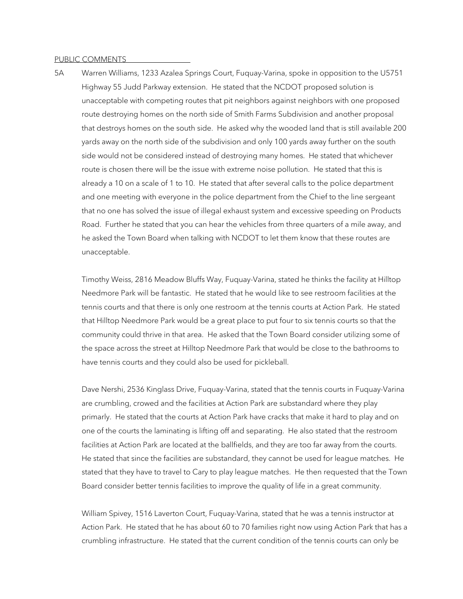#### PUBLIC COMMENTS

5A Warren Williams, 1233 Azalea Springs Court, Fuquay-Varina, spoke in opposition to the U5751 Highway 55 Judd Parkway extension. He stated that the NCDOT proposed solution is unacceptable with competing routes that pit neighbors against neighbors with one proposed route destroying homes on the north side of Smith Farms Subdivision and another proposal that destroys homes on the south side. He asked why the wooded land that is still available 200 yards away on the north side of the subdivision and only 100 yards away further on the south side would not be considered instead of destroying many homes. He stated that whichever route is chosen there will be the issue with extreme noise pollution. He stated that this is already a 10 on a scale of 1 to 10. He stated that after several calls to the police department and one meeting with everyone in the police department from the Chief to the line sergeant that no one has solved the issue of illegal exhaust system and excessive speeding on Products Road. Further he stated that you can hear the vehicles from three quarters of a mile away, and he asked the Town Board when talking with NCDOT to let them know that these routes are unacceptable.

Timothy Weiss, 2816 Meadow Bluffs Way, Fuquay-Varina, stated he thinks the facility at Hilltop Needmore Park will be fantastic. He stated that he would like to see restroom facilities at the tennis courts and that there is only one restroom at the tennis courts at Action Park. He stated that Hilltop Needmore Park would be a great place to put four to six tennis courts so that the community could thrive in that area. He asked that the Town Board consider utilizing some of the space across the street at Hilltop Needmore Park that would be close to the bathrooms to have tennis courts and they could also be used for pickleball.

Dave Nershi, 2536 Kinglass Drive, Fuquay-Varina, stated that the tennis courts in Fuquay-Varina are crumbling, crowed and the facilities at Action Park are substandard where they play primarly. He stated that the courts at Action Park have cracks that make it hard to play and on one of the courts the laminating is lifting off and separating. He also stated that the restroom facilities at Action Park are located at the ballfields, and they are too far away from the courts. He stated that since the facilities are substandard, they cannot be used for league matches. He stated that they have to travel to Cary to play league matches. He then requested that the Town Board consider better tennis facilities to improve the quality of life in a great community.

William Spivey, 1516 Laverton Court, Fuquay-Varina, stated that he was a tennis instructor at Action Park. He stated that he has about 60 to 70 families right now using Action Park that has a crumbling infrastructure. He stated that the current condition of the tennis courts can only be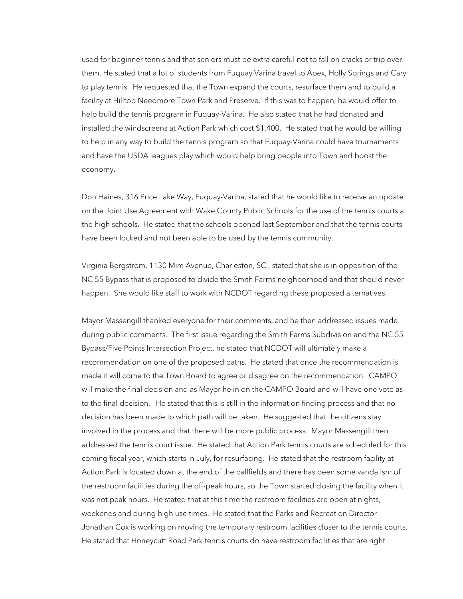used for beginner tennis and that seniors must be extra careful not to fall on cracks or trip over them. He stated that a lot of students from Fuquay Varina travel to Apex, Holly Springs and Cary to play tennis. He requested that the Town expand the courts, resurface them and to build a facility at Hilltop Needmore Town Park and Preserve. If this was to happen, he would offer to help build the tennis program in Fuquay-Varina. He also stated that he had donated and installed the windscreens at Action Park which cost \$1,400. He stated that he would be willing to help in any way to build the tennis program so that Fuquay-Varina could have tournaments and have the USDA leagues play which would help bring people into Town and boost the economy.

Don Haines, 316 Price Lake Way, Fuquay-Varina, stated that he would like to receive an update on the Joint Use Agreement with Wake County Public Schools for the use of the tennis courts at the high schools. He stated that the schools opened last September and that the tennis courts have been locked and not been able to be used by the tennis community.

Virginia Bergstrom, 1130 Mim Avenue, Charleston, SC , stated that she is in opposition of the NC 55 Bypass that is proposed to divide the Smith Farms neighborhood and that should never happen. She would like staff to work with NCDOT regarding these proposed alternatives.

Mayor Massengill thanked everyone for their comments, and he then addressed issues made during public comments. The first issue regarding the Smith Farms Subdivision and the NC 55 Bypass/Five Points Intersection Project, he stated that NCDOT will ultimately make a recommendation on one of the proposed paths. He stated that once the recommendation is made it will come to the Town Board to agree or disagree on the recommendation. CAMPO will make the final decision and as Mayor he in on the CAMPO Board and will have one vote as to the final decision. He stated that this is still in the information finding process and that no decision has been made to which path will be taken. He suggested that the citizens stay involved in the process and that there will be more public process. Mayor Massengill then addressed the tennis court issue. He stated that Action Park tennis courts are scheduled for this coming fiscal year, which starts in July, for resurfacing. He stated that the restroom facility at Action Park is located down at the end of the ballfields and there has been some vandalism of the restroom facilities during the off-peak hours, so the Town started closing the facility when it was not peak hours. He stated that at this time the restroom facilities are open at nights, weekends and during high use times. He stated that the Parks and Recreation Director Jonathan Cox is working on moving the temporary restroom facilities closer to the tennis courts. He stated that Honeycutt Road Park tennis courts do have restroom facilities that are right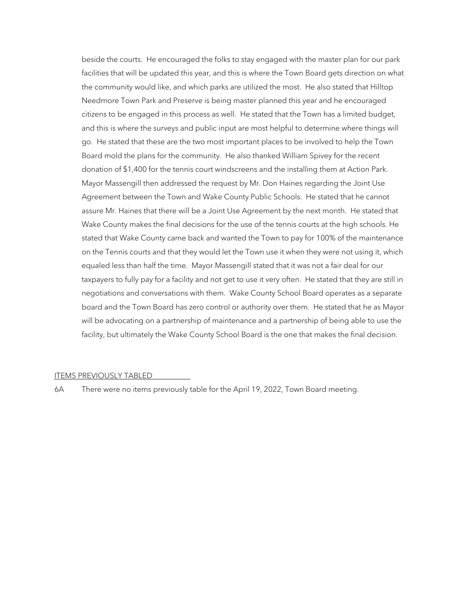beside the courts. He encouraged the folks to stay engaged with the master plan for our park facilities that will be updated this year, and this is where the Town Board gets direction on what the community would like, and which parks are utilized the most. He also stated that Hilltop Needmore Town Park and Preserve is being master planned this year and he encouraged citizens to be engaged in this process as well. He stated that the Town has a limited budget, and this is where the surveys and public input are most helpful to determine where things will go. He stated that these are the two most important places to be involved to help the Town Board mold the plans for the community. He also thanked William Spivey for the recent donation of \$1,400 for the tennis court windscreens and the installing them at Action Park. Mayor Massengill then addressed the request by Mr. Don Haines regarding the Joint Use Agreement between the Town and Wake County Public Schools. He stated that he cannot assure Mr. Haines that there will be a Joint Use Agreement by the next month. He stated that Wake County makes the final decisions for the use of the tennis courts at the high schools. He stated that Wake County came back and wanted the Town to pay for 100% of the maintenance on the Tennis courts and that they would let the Town use it when they were not using it, which equaled less than half the time. Mayor Massengill stated that it was not a fair deal for our taxpayers to fully pay for a facility and not get to use it very often. He stated that they are still in negotiations and conversations with them. Wake County School Board operates as a separate board and the Town Board has zero control or authority over them. He stated that he as Mayor will be advocating on a partnership of maintenance and a partnership of being able to use the facility, but ultimately the Wake County School Board is the one that makes the final decision.

# ITEMS PREVIOUSLY TABLED

6A There were no items previously table for the April 19, 2022, Town Board meeting.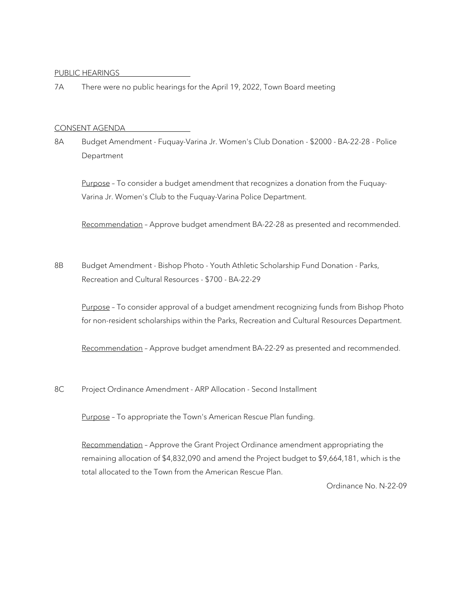#### PUBLIC HEARINGS

7A There were no public hearings for the April 19, 2022, Town Board meeting

#### CONSENT AGENDA

8A Budget Amendment - Fuquay-Varina Jr. Women's Club Donation - \$2000 - BA-22-28 - Police **Department** 

Purpose - To consider a budget amendment that recognizes a donation from the Fuguay-Varina Jr. Women's Club to the Fuquay-Varina Police Department.

Recommendation - Approve budget amendment BA-22-28 as presented and recommended.

8B Budget Amendment - Bishop Photo - Youth Athletic Scholarship Fund Donation - Parks, Recreation and Cultural Resources - \$700 - BA-22-29

Purpose – To consider approval of a budget amendment recognizing funds from Bishop Photo for non-resident scholarships within the Parks, Recreation and Cultural Resources Department.

Recommendation - Approve budget amendment BA-22-29 as presented and recommended.

8C Project Ordinance Amendment - ARP Allocation - Second Installment

Purpose – To appropriate the Town's American Rescue Plan funding.

Recommendation – Approve the Grant Project Ordinance amendment appropriating the remaining allocation of \$4,832,090 and amend the Project budget to \$9,664,181, which is the total allocated to the Town from the American Rescue Plan.

Ordinance No. N-22-09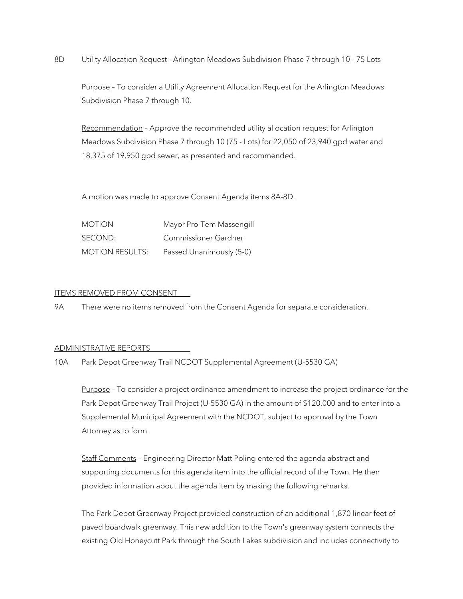8D Utility Allocation Request - Arlington Meadows Subdivision Phase 7 through 10 - 75 Lots

Purpose - To consider a Utility Agreement Allocation Request for the Arlington Meadows Subdivision Phase 7 through 10.

Recommendation – Approve the recommended utility allocation request for Arlington Meadows Subdivision Phase 7 through 10 (75 - Lots) for 22,050 of 23,940 gpd water and 18,375 of 19,950 gpd sewer, as presented and recommended.

A motion was made to approve Consent Agenda items 8A-8D.

| <b>MOTION</b>          | Mayor Pro-Tem Massengill |
|------------------------|--------------------------|
| SECOND:                | Commissioner Gardner     |
| <b>MOTION RESULTS:</b> | Passed Unanimously (5-0) |

# ITEMS REMOVED FROM CONSENT

9A There were no items removed from the Consent Agenda for separate consideration.

# ADMINISTRATIVE REPORTS

10A Park Depot Greenway Trail NCDOT Supplemental Agreement (U-5530 GA)

Purpose - To consider a project ordinance amendment to increase the project ordinance for the Park Depot Greenway Trail Project (U-5530 GA) in the amount of \$120,000 and to enter into a Supplemental Municipal Agreement with the NCDOT, subject to approval by the Town Attorney as to form.

Staff Comments – Engineering Director Matt Poling entered the agenda abstract and supporting documents for this agenda item into the official record of the Town. He then provided information about the agenda item by making the following remarks.

The Park Depot Greenway Project provided construction of an additional 1,870 linear feet of paved boardwalk greenway. This new addition to the Town's greenway system connects the existing Old Honeycutt Park through the South Lakes subdivision and includes connectivity to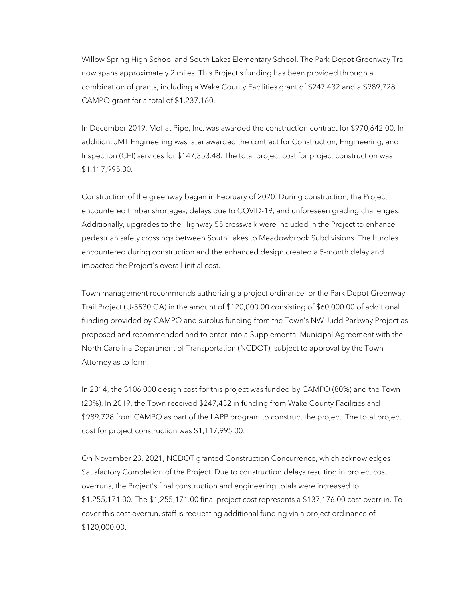Willow Spring High School and South Lakes Elementary School. The Park-Depot Greenway Trail now spans approximately 2 miles. This Project's funding has been provided through a combination of grants, including a Wake County Facilities grant of \$247,432 and a \$989,728 CAMPO grant for a total of \$1,237,160.

In December 2019, Moffat Pipe, Inc. was awarded the construction contract for \$970,642.00. In addition, JMT Engineering was later awarded the contract for Construction, Engineering, and Inspection (CEI) services for \$147,353.48. The total project cost for project construction was \$1,117,995.00.

Construction of the greenway began in February of 2020. During construction, the Project encountered timber shortages, delays due to COVID-19, and unforeseen grading challenges. Additionally, upgrades to the Highway 55 crosswalk were included in the Project to enhance pedestrian safety crossings between South Lakes to Meadowbrook Subdivisions. The hurdles encountered during construction and the enhanced design created a 5-month delay and impacted the Project's overall initial cost.

Town management recommends authorizing a project ordinance for the Park Depot Greenway Trail Project (U-5530 GA) in the amount of \$120,000.00 consisting of \$60,000.00 of additional funding provided by CAMPO and surplus funding from the Town's NW Judd Parkway Project as proposed and recommended and to enter into a Supplemental Municipal Agreement with the North Carolina Department of Transportation (NCDOT), subject to approval by the Town Attorney as to form.

In 2014, the \$106,000 design cost for this project was funded by CAMPO (80%) and the Town (20%). In 2019, the Town received \$247,432 in funding from Wake County Facilities and \$989,728 from CAMPO as part of the LAPP program to construct the project. The total project cost for project construction was \$1,117,995.00.

On November 23, 2021, NCDOT granted Construction Concurrence, which acknowledges Satisfactory Completion of the Project. Due to construction delays resulting in project cost overruns, the Project's final construction and engineering totals were increased to \$1,255,171.00. The \$1,255,171.00 final project cost represents a \$137,176.00 cost overrun. To cover this cost overrun, staff is requesting additional funding via a project ordinance of \$120,000.00.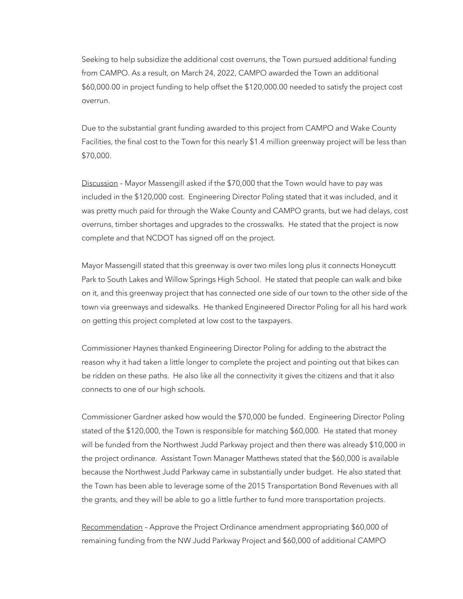Seeking to help subsidize the additional cost overruns, the Town pursued additional funding from CAMPO. As a result, on March 24, 2022, CAMPO awarded the Town an additional \$60,000.00 in project funding to help offset the \$120,000.00 needed to satisfy the project cost overrun.

Due to the substantial grant funding awarded to this project from CAMPO and Wake County Facilities, the final cost to the Town for this nearly \$1.4 million greenway project will be less than \$70,000.

Discussion – Mayor Massengill asked if the \$70,000 that the Town would have to pay was included in the \$120,000 cost. Engineering Director Poling stated that it was included, and it was pretty much paid for through the Wake County and CAMPO grants, but we had delays, cost overruns, timber shortages and upgrades to the crosswalks. He stated that the project is now complete and that NCDOT has signed off on the project.

Mayor Massengill stated that this greenway is over two miles long plus it connects Honeycutt Park to South Lakes and Willow Springs High School. He stated that people can walk and bike on it, and this greenway project that has connected one side of our town to the other side of the town via greenways and sidewalks. He thanked Engineered Director Poling for all his hard work on getting this project completed at low cost to the taxpayers.

Commissioner Haynes thanked Engineering Director Poling for adding to the abstract the reason why it had taken a little longer to complete the project and pointing out that bikes can be ridden on these paths. He also like all the connectivity it gives the citizens and that it also connects to one of our high schools.

Commissioner Gardner asked how would the \$70,000 be funded. Engineering Director Poling stated of the \$120,000, the Town is responsible for matching \$60,000. He stated that money will be funded from the Northwest Judd Parkway project and then there was already \$10,000 in the project ordinance. Assistant Town Manager Matthews stated that the \$60,000 is available because the Northwest Judd Parkway came in substantially under budget. He also stated that the Town has been able to leverage some of the 2015 Transportation Bond Revenues with all the grants, and they will be able to go a little further to fund more transportation projects.

Recommendation – Approve the Project Ordinance amendment appropriating \$60,000 of remaining funding from the NW Judd Parkway Project and \$60,000 of additional CAMPO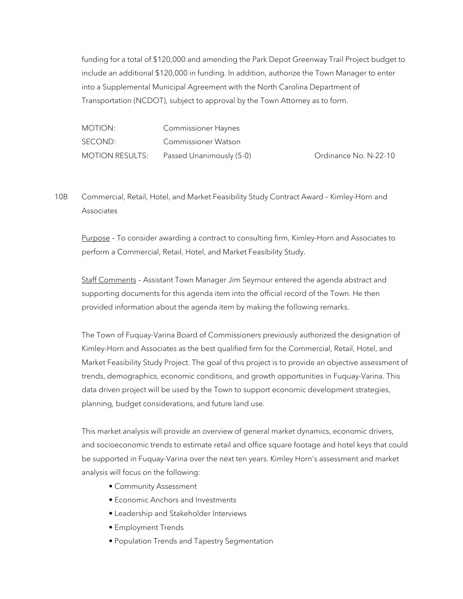funding for a total of \$120,000 and amending the Park Depot Greenway Trail Project budget to include an additional \$120,000 in funding. In addition, authorize the Town Manager to enter into a Supplemental Municipal Agreement with the North Carolina Department of Transportation (NCDOT), subject to approval by the Town Attorney as to form.

| MOTION:                | <b>Commissioner Haynes</b> |                       |
|------------------------|----------------------------|-----------------------|
| SECOND:                | Commissioner Watson        |                       |
| <b>MOTION RESULTS:</b> | Passed Unanimously (5-0)   | Ordinance No. N-22-10 |

10B Commercial, Retail, Hotel, and Market Feasibility Study Contract Award – Kimley-Horn and **Associates** 

Purpose – To consider awarding a contract to consulting firm, Kimley-Horn and Associates to perform a Commercial, Retail, Hotel, and Market Feasibility Study.

Staff Comments – Assistant Town Manager Jim Seymour entered the agenda abstract and supporting documents for this agenda item into the official record of the Town. He then provided information about the agenda item by making the following remarks.

The Town of Fuquay-Varina Board of Commissioners previously authorized the designation of Kimley-Horn and Associates as the best qualified firm for the Commercial, Retail, Hotel, and Market Feasibility Study Project. The goal of this project is to provide an objective assessment of trends, demographics, economic conditions, and growth opportunities in Fuquay-Varina. This data driven project will be used by the Town to support economic development strategies, planning, budget considerations, and future land use.

This market analysis will provide an overview of general market dynamics, economic drivers, and socioeconomic trends to estimate retail and office square footage and hotel keys that could be supported in Fuquay-Varina over the next ten years. Kimley Horn's assessment and market analysis will focus on the following:

- Community Assessment
- Economic Anchors and Investments
- Leadership and Stakeholder Interviews
- Employment Trends
- Population Trends and Tapestry Segmentation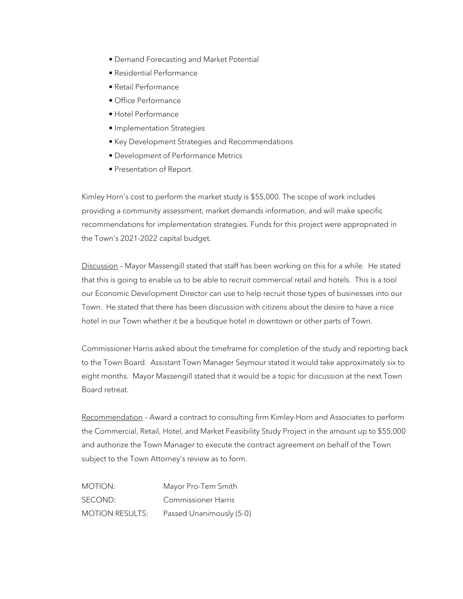- Demand Forecasting and Market Potential
- Residential Performance
- Retail Performance
- Office Performance
- Hotel Performance
- Implementation Strategies
- Key Development Strategies and Recommendations
- Development of Performance Metrics
- Presentation of Report.

Kimley Horn's cost to perform the market study is \$55,000. The scope of work includes providing a community assessment, market demands information, and will make specific recommendations for implementation strategies. Funds for this project were appropriated in the Town's 2021-2022 capital budget.

Discussion - Mayor Massengill stated that staff has been working on this for a while. He stated that this is going to enable us to be able to recruit commercial retail and hotels. This is a tool our Economic Development Director can use to help recruit those types of businesses into our Town. He stated that there has been discussion with citizens about the desire to have a nice hotel in our Town whether it be a boutique hotel in downtown or other parts of Town.

Commissioner Harris asked about the timeframe for completion of the study and reporting back to the Town Board. Assistant Town Manager Seymour stated it would take approximately six to eight months. Mayor Massengill stated that it would be a topic for discussion at the next Town Board retreat.

Recommendation – Award a contract to consulting firm Kimley-Horn and Associates to perform the Commercial, Retail, Hotel, and Market Feasibility Study Project in the amount up to \$55,000 and authorize the Town Manager to execute the contract agreement on behalf of the Town subject to the Town Attorney's review as to form.

MOTION: Mayor Pro-Tem Smith SECOND: Commissioner Harris MOTION RESULTS: Passed Unanimously (5-0)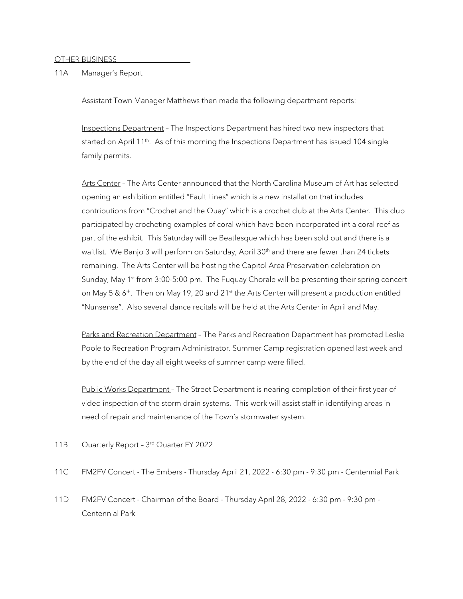# OTHER BUSINESS

# 11A Manager's Report

Assistant Town Manager Matthews then made the following department reports:

Inspections Department – The Inspections Department has hired two new inspectors that started on April 11<sup>th</sup>. As of this morning the Inspections Department has issued 104 single family permits.

Arts Center – The Arts Center announced that the North Carolina Museum of Art has selected opening an exhibition entitled "Fault Lines" which is a new installation that includes contributions from "Crochet and the Quay" which is a crochet club at the Arts Center. This club participated by crocheting examples of coral which have been incorporated int a coral reef as part of the exhibit. This Saturday will be Beatlesque which has been sold out and there is a waitlist. We Banjo 3 will perform on Saturday, April  $30<sup>th</sup>$  and there are fewer than 24 tickets remaining. The Arts Center will be hosting the Capitol Area Preservation celebration on Sunday, May  $1<sup>st</sup>$  from 3:00-5:00 pm. The Fuquay Chorale will be presenting their spring concert on May 5 &  $6<sup>th</sup>$ . Then on May 19, 20 and 21<sup>st</sup> the Arts Center will present a production entitled "Nunsense". Also several dance recitals will be held at the Arts Center in April and May.

Parks and Recreation Department - The Parks and Recreation Department has promoted Leslie Poole to Recreation Program Administrator. Summer Camp registration opened last week and by the end of the day all eight weeks of summer camp were filled.

Public Works Department - The Street Department is nearing completion of their first year of video inspection of the storm drain systems. This work will assist staff in identifying areas in need of repair and maintenance of the Town's stormwater system.

- 11B Quarterly Report 3<sup>rd</sup> Quarter FY 2022
- 11C FM2FV Concert The Embers Thursday April 21, 2022 6:30 pm 9:30 pm Centennial Park
- 11D FM2FV Concert Chairman of the Board Thursday April 28, 2022 6:30 pm 9:30 pm Centennial Park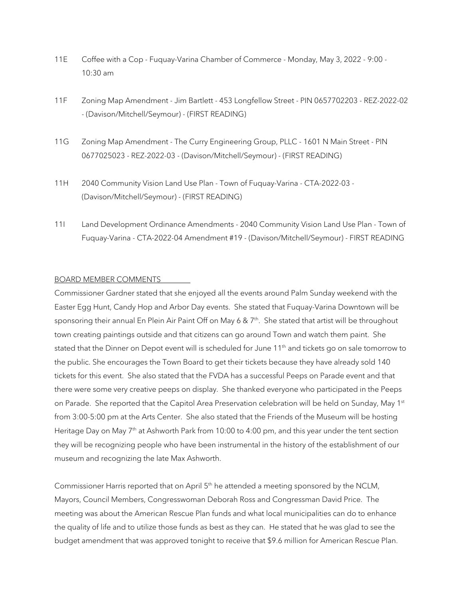- 11E Coffee with a Cop Fuquay-Varina Chamber of Commerce Monday, May 3, 2022 9:00  $10:30 \text{ am}$
- 11F Zoning Map Amendment Jim Bartlett 453 Longfellow Street PIN 0657702203 REZ-2022-02 - (Davison/Mitchell/Seymour) - (FIRST READING)
- 11G Zoning Map Amendment The Curry Engineering Group, PLLC 1601 N Main Street PIN 0677025023 - REZ-2022-03 - (Davison/Mitchell/Seymour) - (FIRST READING)
- 11H 2040 Community Vision Land Use Plan Town of Fuquay-Varina CTA-2022-03 (Davison/Mitchell/Seymour) - (FIRST READING)
- 11I Land Development Ordinance Amendments 2040 Community Vision Land Use Plan Town of Fuquay-Varina - CTA-2022-04 Amendment #19 - (Davison/Mitchell/Seymour) - FIRST READING

# BOARD MEMBER COMMENTS

Commissioner Gardner stated that she enjoyed all the events around Palm Sunday weekend with the Easter Egg Hunt, Candy Hop and Arbor Day events. She stated that Fuquay-Varina Downtown will be sponsoring their annual En Plein Air Paint Off on May 6 & 7<sup>th</sup>. She stated that artist will be throughout town creating paintings outside and that citizens can go around Town and watch them paint. She stated that the Dinner on Depot event will is scheduled for June 11<sup>th</sup> and tickets go on sale tomorrow to the public. She encourages the Town Board to get their tickets because they have already sold 140 tickets for this event. She also stated that the FVDA has a successful Peeps on Parade event and that there were some very creative peeps on display. She thanked everyone who participated in the Peeps on Parade. She reported that the Capitol Area Preservation celebration will be held on Sunday, May 1<sup>st</sup> from 3:00-5:00 pm at the Arts Center. She also stated that the Friends of the Museum will be hosting Heritage Day on May 7<sup>th</sup> at Ashworth Park from 10:00 to 4:00 pm, and this year under the tent section they will be recognizing people who have been instrumental in the history of the establishment of our museum and recognizing the late Max Ashworth.

Commissioner Harris reported that on April 5<sup>th</sup> he attended a meeting sponsored by the NCLM, Mayors, Council Members, Congresswoman Deborah Ross and Congressman David Price. The meeting was about the American Rescue Plan funds and what local municipalities can do to enhance the quality of life and to utilize those funds as best as they can. He stated that he was glad to see the budget amendment that was approved tonight to receive that \$9.6 million for American Rescue Plan.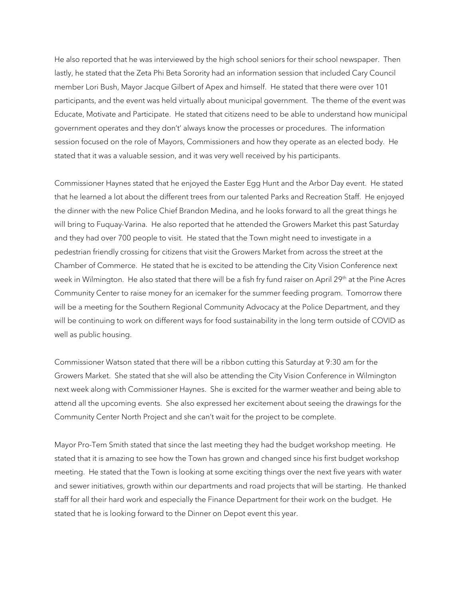He also reported that he was interviewed by the high school seniors for their school newspaper. Then lastly, he stated that the Zeta Phi Beta Sorority had an information session that included Cary Council member Lori Bush, Mayor Jacque Gilbert of Apex and himself. He stated that there were over 101 participants, and the event was held virtually about municipal government. The theme of the event was Educate, Motivate and Participate. He stated that citizens need to be able to understand how municipal government operates and they don't' always know the processes or procedures. The information session focused on the role of Mayors, Commissioners and how they operate as an elected body. He stated that it was a valuable session, and it was very well received by his participants.

Commissioner Haynes stated that he enjoyed the Easter Egg Hunt and the Arbor Day event. He stated that he learned a lot about the different trees from our talented Parks and Recreation Staff. He enjoyed the dinner with the new Police Chief Brandon Medina, and he looks forward to all the great things he will bring to Fuquay-Varina. He also reported that he attended the Growers Market this past Saturday and they had over 700 people to visit. He stated that the Town might need to investigate in a pedestrian friendly crossing for citizens that visit the Growers Market from across the street at the Chamber of Commerce. He stated that he is excited to be attending the City Vision Conference next week in Wilmington. He also stated that there will be a fish fry fund raiser on April 29<sup>th</sup> at the Pine Acres Community Center to raise money for an icemaker for the summer feeding program. Tomorrow there will be a meeting for the Southern Regional Community Advocacy at the Police Department, and they will be continuing to work on different ways for food sustainability in the long term outside of COVID as well as public housing.

Commissioner Watson stated that there will be a ribbon cutting this Saturday at 9:30 am for the Growers Market. She stated that she will also be attending the City Vision Conference in Wilmington next week along with Commissioner Haynes. She is excited for the warmer weather and being able to attend all the upcoming events. She also expressed her excitement about seeing the drawings for the Community Center North Project and she can't wait for the project to be complete.

Mayor Pro-Tem Smith stated that since the last meeting they had the budget workshop meeting. He stated that it is amazing to see how the Town has grown and changed since his first budget workshop meeting. He stated that the Town is looking at some exciting things over the next five years with water and sewer initiatives, growth within our departments and road projects that will be starting. He thanked staff for all their hard work and especially the Finance Department for their work on the budget. He stated that he is looking forward to the Dinner on Depot event this year.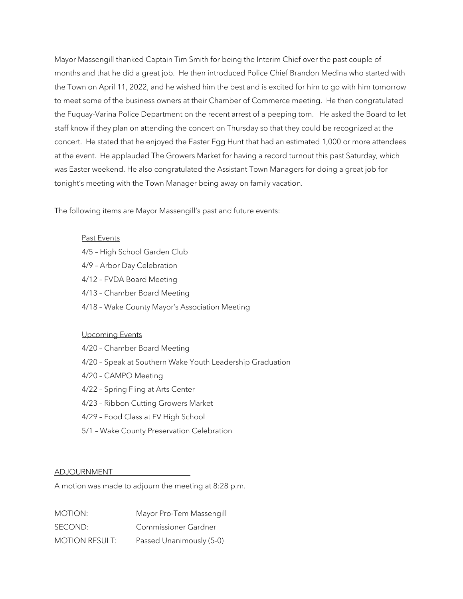Mayor Massengill thanked Captain Tim Smith for being the Interim Chief over the past couple of months and that he did a great job. He then introduced Police Chief Brandon Medina who started with the Town on April 11, 2022, and he wished him the best and is excited for him to go with him tomorrow to meet some of the business owners at their Chamber of Commerce meeting. He then congratulated the Fuquay-Varina Police Department on the recent arrest of a peeping tom. He asked the Board to let staff know if they plan on attending the concert on Thursday so that they could be recognized at the concert. He stated that he enjoyed the Easter Egg Hunt that had an estimated 1,000 or more attendees at the event. He applauded The Growers Market for having a record turnout this past Saturday, which was Easter weekend. He also congratulated the Assistant Town Managers for doing a great job for tonight's meeting with the Town Manager being away on family vacation.

The following items are Mayor Massengill's past and future events:

# Past Events

- 4/5 High School Garden Club
- 4/9 Arbor Day Celebration
- 4/12 FVDA Board Meeting
- 4/13 Chamber Board Meeting
- 4/18 Wake County Mayor's Association Meeting

# Upcoming Events

- 4/20 Chamber Board Meeting
- 4/20 Speak at Southern Wake Youth Leadership Graduation
- 4/20 CAMPO Meeting
- 4/22 Spring Fling at Arts Center
- 4/23 Ribbon Cutting Growers Market
- 4/29 Food Class at FV High School
- 5/1 Wake County Preservation Celebration

# ADJOURNMENT

A motion was made to adjourn the meeting at 8:28 p.m.

MOTION: Mayor Pro-Tem Massengill SECOND: Commissioner Gardner MOTION RESULT: Passed Unanimously (5-0)